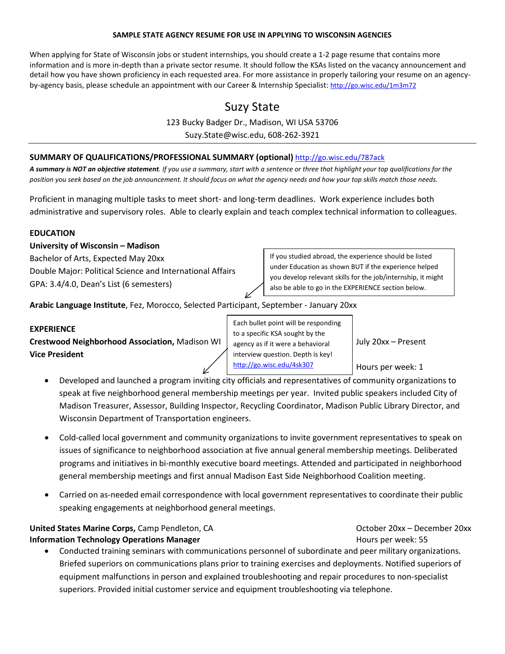#### **SAMPLE STATE AGENCY RESUME FOR USE IN APPLYING TO WISCONSIN AGENCIES**

When applying for State of Wisconsin jobs or student internships, you should create a 1-2 page resume that contains more information and is more in-depth than a private sector resume. It should follow the KSAs listed on the vacancy announcement and detail how you have shown proficiency in each requested area. For more assistance in properly tailoring your resume on an agencyby-agency basis, please schedule an appointment with our Career & Internship Specialist[: http://go.wisc.edu/1m3m72](http://go.wisc.edu/1m3m72) 

# Suzy State

123 Bucky Badger Dr., Madison, WI USA 53706 Suzy.State@wisc.edu, 608-262-3921

## **SUMMARY OF QUALIFICATIONS/PROFESSIONAL SUMMARY (optional)** <http://go.wisc.edu/787ack>

*A summary is NOT an objective statement. If you use a summary, start with a sentence or three that highlight your top qualifications for the position you seek based on the job announcement. It should focus on what the agency needs and how your top skills match those needs.*

Proficient in managing multiple tasks to meet short- and long-term deadlines. Work experience includes both administrative and supervisory roles. Able to clearly explain and teach complex technical information to colleagues.

## **EDUCATION**

### **University of Wisconsin – Madison**

Bachelor of Arts, Expected May 20xx Double Major: Political Science and International Affairs GPA: 3.4/4.0, Dean's List (6 semesters)

If you studied abroad, the experience should be listed under Education as shown BUT if the experience helped you develop relevant skills for the job/internship, it might also be able to go in the EXPERIENCE section below.

**Arabic Language Institute**, Fez, Morocco, Selected Participant, September - January 20xx

## **EXPERIENCE**

**Crestwood Neighborhood Association,** Madison WI  $\parallel$  agency as if it were a behavioral  $\parallel$  July 20xx – Present **Vice President**

Each bullet point will be responding to a specific KSA sought by the agency as if it were a behavioral interview question. Depth is key! <http://go.wisc.edu/4sk307>

Hours per week: 1

- Developed and launched a program inviting city officials and representatives of community organizations to speak at five neighborhood general membership meetings per year. Invited public speakers included City of Madison Treasurer, Assessor, Building Inspector, Recycling Coordinator, Madison Public Library Director, and Wisconsin Department of Transportation engineers.
- Cold-called local government and community organizations to invite government representatives to speak on issues of significance to neighborhood association at five annual general membership meetings. Deliberated programs and initiatives in bi-monthly executive board meetings. Attended and participated in neighborhood general membership meetings and first annual Madison East Side Neighborhood Coalition meeting.
- Carried on as-needed email correspondence with local government representatives to coordinate their public speaking engagements at neighborhood general meetings.

**United States Marine Corps,** Camp Pendleton, CA Camp Corporation CA Corporation COCCODE 20xx – December 20xx **Information Technology Operations Manager Hours per week: 55** and the Hours per week: 55

• Conducted training seminars with communications personnel of subordinate and peer military organizations. Briefed superiors on communications plans prior to training exercises and deployments. Notified superiors of equipment malfunctions in person and explained troubleshooting and repair procedures to non-specialist superiors. Provided initial customer service and equipment troubleshooting via telephone.